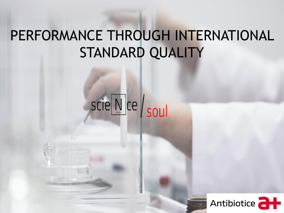# PERFORMANCE THROUGH INTERNATIONAL STANDARD QUALITY

# SCIE NCE SOUL

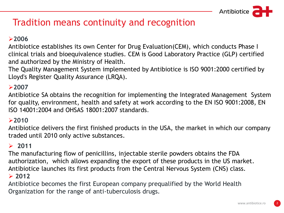# Tradition means continuity and recognition

### **2006**

Antibiotice establishes its own Center for Drug Evaluation(CEM), which conducts Phase I clinical trials and bioequivalence studies. CEM is Good Laboratory Practice (GLP) certified and authorized by the Ministry of Health.

The Quality Management System implemented by Antibiotice is ISO 9001:2000 certified by Lloyd's Register Quality Assurance (LRQA).

### **2007**

Antibiotice SA obtains the recognition for implementing the Integrated Management System for quality, environment, health and safety at work according to the EN ISO 9001:2008, EN ISO 14001:2004 and OHSAS 18001:2007 standards.

#### **2010**

Antibiotice delivers the first finished products in the USA, the market in which our company traded until 2010 only active substances.

### $\geq 2011$

The manufacturing flow of penicillins, injectable sterile powders obtains the FDA authorization, which allows expanding the export of these products in the US market. Antibiotice launches its first products from the Central Nervous System (CNS) class. **2012**

Antibiotice becomes the first European company prequalified by the World Health Organization for the range of anti-tuberculosis drugs.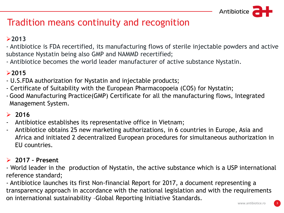# Tradition means continuity and recognition

### **2013**

- Antibiotice is FDA recertified, its manufacturing flows of sterile injectable powders and active substance Nystatin being also GMP and NAMMD recertified;

- Antibiotice becomes the world leader manufacturer of active substance Nystatin.

### **2015**

- U.S.FDA authorization for Nystatin and injectable products;
- Certificate of Suitability with the European Pharmacopoeia (COS) for Nystatin;
- Good Manufacturing Practice(GMP) Certificate for all the manufacturing flows, Integrated Management System.

### $\geq 2016$

- Antibiotice establishes its representative office in Vietnam;
- Antibiotice obtains 25 new marketing authorizations, in 6 countries in Europe, Asia and Africa and initiated 2 decentralized European procedures for simultaneous authorization in EU countries.

### **2017 – Present**

- World leader in the production of Nystatin, the active substance which is a USP international reference standard;

- Antibiotice launches its first Non-financial Report for 2017, a document representing a transparency approach in accordance with the national legislation and with the requirements on international sustainability –Global Reporting Initiative Standards.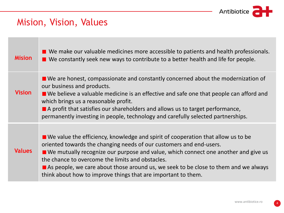

# Mision, Vision, Values

| <b>Mision</b> | $\blacksquare$ We make our valuable medicines more accessible to patients and health professionals.<br>$\blacksquare$ We constantly seek new ways to contribute to a better health and life for people.                                                                                                                                                                                                                                                                    |
|---------------|----------------------------------------------------------------------------------------------------------------------------------------------------------------------------------------------------------------------------------------------------------------------------------------------------------------------------------------------------------------------------------------------------------------------------------------------------------------------------|
| <b>Vision</b> | $\blacksquare$ We are honest, compassionate and constantly concerned about the modernization of<br>our business and products.<br>$\blacksquare$ We believe a valuable medicine is an effective and safe one that people can afford and<br>which brings us a reasonable profit.<br>$\blacksquare$ A profit that satisfies our shareholders and allows us to target performance,<br>permanently investing in people, technology and carefully selected partnerships.         |
| <b>Values</b> | $\blacksquare$ We value the efficiency, knowledge and spirit of cooperation that allow us to be<br>oriented towards the changing needs of our customers and end-users.<br>■ We mutually recognize our purpose and value, which connect one another and give us<br>the chance to overcome the limits and obstacles.<br>As people, we care about those around us, we seek to be close to them and we always<br>think about how to improve things that are important to them. |

4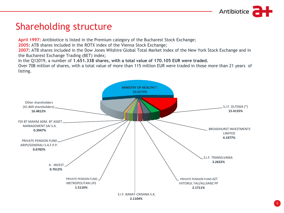

# Shareholding structure

**April 1997:** Antibiotice is listed in the Premium category of the Bucharest Stock Exchange;

**2005:** ATB shares included in the ROTX index of the Vienna Stock Exchange;

**2007:** ATB shares included in the Dow Jones Wilshire Global Total Market index of the New York Stock Exchange and in the Bucharest Exchange Trading (BET) index;

In the Q12019, a number of **1.651.338 shares, with a total value of 170.105 EUR were traded.**

Over 708 million of shares, with a total value of more than 115 million EUR were traded in those more than 21 years of listing.

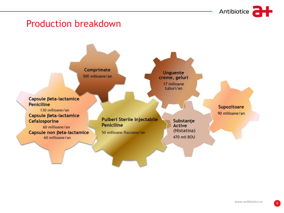

# **Production breakdown**



6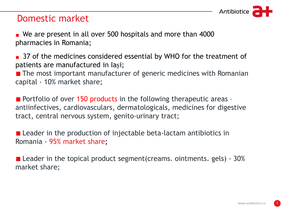

# Domestic market

We are present in all over 500 hospitals and more than 4000 pharmacies in Romania;

37 of the medicines considered essential by WHO for the treatment of patients are manufactured in Iași;

■ The most important manufacturer of generic medicines with Romanian capital - 10% market share;

**Portfolio of over 150 products in the following therapeutic areas** antiinfectives, cardiovasculars, dermatologicals, medicines for digestive tract, central nervous system, genito-urinary tract;

**E** Leader in the production of injectable beta-lactam antibiotics in Romania - 95% market share**;**

**Leader in the topical product segment (creams. ointments. gels)** -  $30\%$ market share;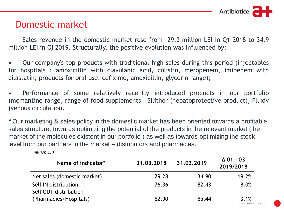

# Domestic market

Sales revenue in the domestic market rose from 29.3 million LEI in Q1 2018 to 34.9 million LEI in QI 2019. Structurally, the positive evolution was influenced by:

• Our company's top products with traditional high sales during this period (injectables for hospitals : amoxicillin with clavulanic acid, colistin, meropenem, imipenem with cilastatin; products for oral use: cefixime, amoxicillin, glycerin range);

• Performance of some relatively recently introduced products in our portfolio (memantine range, range of food supplements – Silithor (hepatoprotective product), Fluxiv (venous circulation.

*\** Our marketing & sales policy in the domestic market has been oriented towards a profitable sales structure, towards optimizing the potential of the products in the relevant market (the market of the molecules existent in our portfolio ) as well as towards optimizing the stock level from our partners in the market – distributors and pharmacies.

*(million LEI)*

| Name of indicator*          | 31,03,2018 | 31.03.2019 | $\Delta$ 01 - 03<br>2019/2018 |
|-----------------------------|------------|------------|-------------------------------|
| Net sales (domestic market) | 29.28      | 34.90      | 19.2%                         |
| Sell IN distribution        | 76.36      | 82.43      | 8.0%                          |
| Sell OUT distribution       |            |            |                               |
| (Pharmacies+Hospitals)      | 82.90      | 85.44      | 3.1%                          |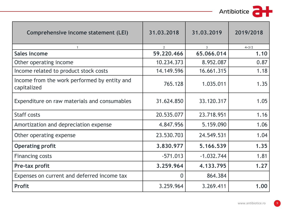Antibiotice **at** 

| Comprehensive income statement (LEI)                        | 31,03,2018     | 31.03.2019     | 2019/2018 |
|-------------------------------------------------------------|----------------|----------------|-----------|
| $\mathbf{1}$                                                | $\overline{2}$ | $\overline{3}$ | $4 = 3/2$ |
| <b>Sales income</b>                                         | 59.220.466     | 65.066.014     | 1.10      |
| Other operating income                                      | 10.234.373     | 8.952.087      | 0.87      |
| Income related to product stock costs                       | 14.149.596     | 16.661.315     | 1.18      |
| Income from the work performed by entity and<br>capitalized | 765.128        | 1.035.011      | 1.35      |
| Expenditure on raw materials and consumables                | 31.624.850     | 33.120.317     | 1.05      |
| <b>Staff costs</b>                                          | 20.535.077     | 23.718.951     | 1.16      |
| Amortization and depreciation expense                       | 4.847.956      | 5.159.090      | 1.06      |
| Other operating expense                                     | 23.530.703     | 24.549.531     | 1.04      |
| <b>Operating profit</b>                                     | 3,830,977      | 5.166.539      | 1.35      |
| <b>Financing costs</b>                                      | $-571.013$     | $-1.032.744$   | 1.81      |
| Pre-tax profit                                              | 3.259.964      | 4.133.795      | 1.27      |
| Expenses on current and deferred income tax                 | $\overline{0}$ | 864.384        |           |
| <b>Profit</b>                                               | 3.259.964      | 3.269.411      | 1.00      |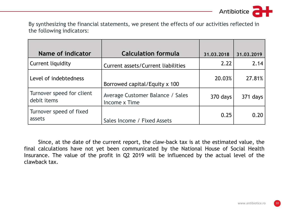Antibiotice

Write it here. By synthesizing the financial statements, we present the effects of our activities reflected in the following indicators:

| Name of indicator                        | <b>Calculation formula</b>                        | 31.03.2018 | 31.03.2019 |
|------------------------------------------|---------------------------------------------------|------------|------------|
| Current liquidity                        | Current assets/Current liabilities                | 2.22       | 2.14       |
| Level of indebtedness                    | Borrowed capital/Equity x 100                     | 20.03%     | 27.81%     |
| Turnover speed for client<br>debit items | Average Customer Balance / Sales<br>Income x Time | 370 days   | 371 days   |
| Turnover speed of fixed<br>assets        | Sales Income / Fixed Assets                       | 0.25       | 0.20       |

Since, at the date of the current report, the claw-back tax is at the estimated value, the final calculations have not yet been communicated by the National House of Social Health Insurance. The value of the profit in Q2 2019 will be influenced by the actual level of the clawback tax.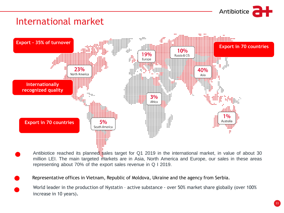

#### Write it here International market



- Antibiotice reached its planned sales target for Q1 2019 in the international market, in value of about 30 million LEI. The main targeted markets are in Asia, North America and Europe, our sales in these areas representing about 70% of the export sales revenue in Q I 2019.
- Representative offices in Vietnam, Republic of Moldova, Ukraine and the agency from Serbia. 2019.
	- World leader in the production of Nystatin active substance over 50% market share globally (over 100% increase in 10 years)*.*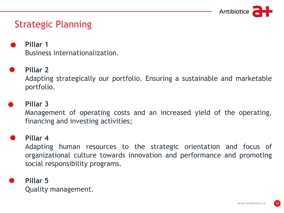

# **Strategic Planning**

- **Pillar 1** Business internationalization.
- **Pillar 2**

Adapting strategically our portfolio. Ensuring a sustainable and marketable portfolio.

### **Pillar 3**

Management of operating costs and an increased yield of the operating, financing and investing activities;

### **Pillar 4**

Adapting human resources to the strategic orientation and focus of organizational culture towards innovation and performance and promoting social responsibility programs.

### **Pillar 5**

Quality management.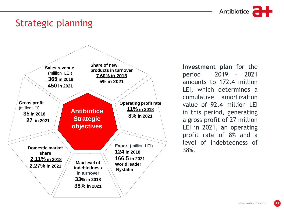

# Strategic planning



**Investment plan** for the period 2019 – 2021 amounts to 172.4 million LEI, which determines a cumulative amortization value of 92.4 million LEI in this period, generating a gross profit of 27 million LEI in 2021, an operating profit rate of 8% and a level of indebtedness of 38%.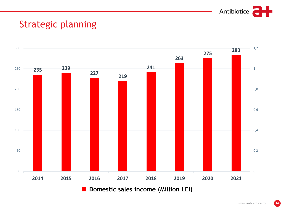

### Strategic planning **Planificare Strategica**

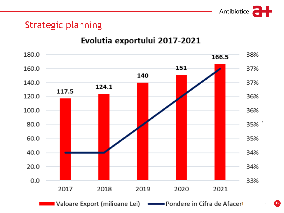

# Strategic planning

### Evolutia exportului 2017-2021

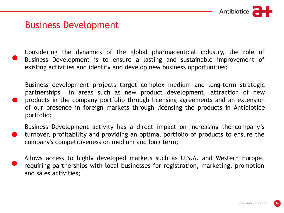

## **Business Development**

Considering the dynamics of the global pharmaceutical industry, the role of Business Development is to ensure a lasting and sustainable improvement of existing activities and identify and develop new business opportunities;

Business development projects target complex medium and long-term strategic partnerships in areas such as new product development, attraction of new products in the company portfolio through licensing agreements and an extension of our presence in foreign markets through licensing the products in Antibiotice portfolio;

Business Development activity has a direct impact on increasing the company's turnover, profitability and providing an optimal portfolio of products to ensure the company's competitiveness on medium and long term;

Allows access to highly developed markets such as U.S.A. and Western Europe, requiring partnerships with local businesses for registration, marketing, promotion and sales activities;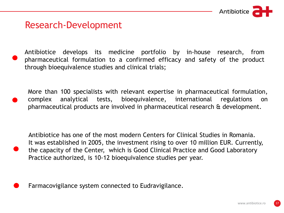

## Research-Development

Antibiotice develops its medicine portfolio by in-house research, from pharmaceutical formulation to a confirmed efficacy and safety of the product through bioequivalence studies and clinical trials;

More than 100 specialists with relevant expertise in pharmaceutical formulation, complex analytical tests, bioequivalence, international regulations on pharmaceutical products are involved in pharmaceutical research & development.

Antibiotice has one of the most modern Centers for Clinical Studies in Romania. It was established in 2005, the investment rising to over 10 million EUR. Currently, the capacity of the Center, which is Good Clinical Practice and Good Laboratory Practice authorized, is 10-12 bioequivalence studies per year.

Farmacovigilance system connected to Eudravigilance.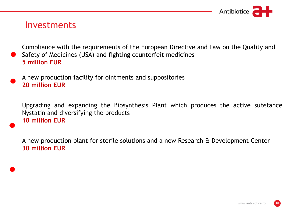

### Investments

Compliance with the requirements of the European Directive and Law on the Quality and Safety of Medicines (USA) and fighting counterfeit medicines **5 million EUR**

### A new production facility for ointments and suppositories **20 million EUR**

Upgrading and expanding the Biosynthesis Plant which produces the active substance Nystatin and diversifying the products **10 million EUR**

A new production plant for sterile solutions and a new Research & Development Center **30 million EUR**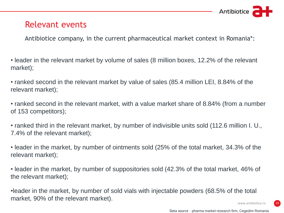

## Relevant events

Antibiotice company, in the current pharmaceutical market context in Romania\*:

• leader in the relevant market by volume of sales (8 million boxes, 12.2% of the relevant market);

• ranked second in the relevant market by value of sales (85.4 million LEI, 8.84% of the relevant market);

• ranked second in the relevant market, with a value market share of 8.84% (from a number of 153 competitors);

• ranked third in the relevant market, by number of indivisible units sold (112.6 million I. U., 7.4% of the relevant market);

• leader in the market, by number of ointments sold (25% of the total market, 34.3% of the relevant market);

• leader in the market, by number of suppositories sold (42.3% of the total market, 46% of the relevant market);

•leader in the market, by number of sold vials with injectable powders (68.5% of the total market, 90% of the relevant market).

www.antibiotice.ro